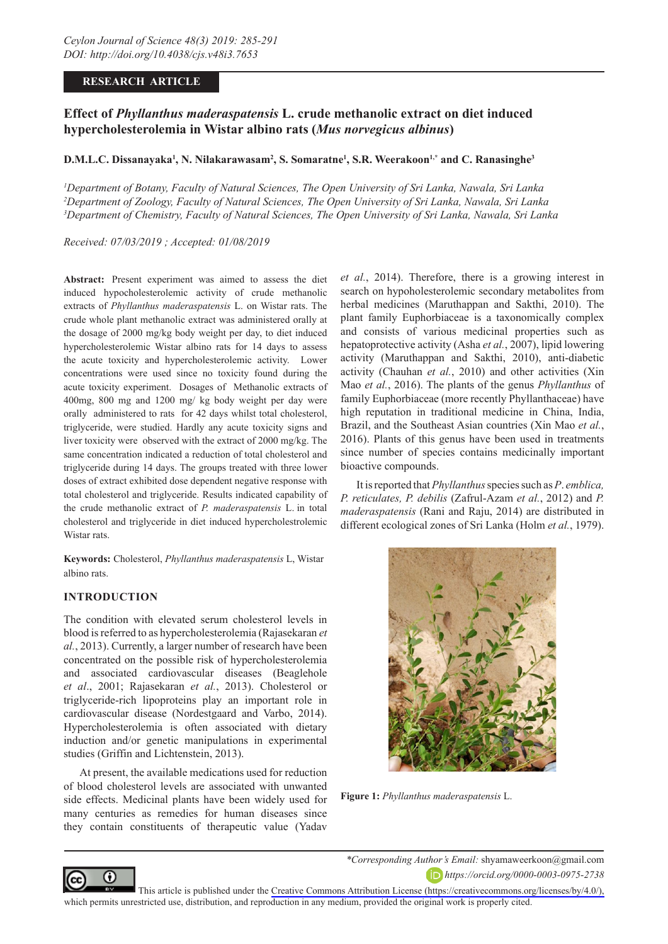# **RESEARCH ARTICLE**

# **Effect of** *Phyllanthus maderaspatensis* **L. crude methanolic extract on diet induced hypercholesterolemia in Wistar albino rats (***Mus norvegicus albinus***)**

# **D.M.L.C. Dissanayaka1 , N. Nilakarawasam2 , S. Somaratne1 , S.R. Weerakoon1,\* and C. Ranasinghe3**

*1 Department of Botany, Faculty of Natural Sciences, The Open University of Sri Lanka, Nawala, Sri Lanka 2 Department of Zoology, Faculty of Natural Sciences, The Open University of Sri Lanka, Nawala, Sri Lanka 3 Department of Chemistry, Faculty of Natural Sciences, The Open University of Sri Lanka, Nawala, Sri Lanka*

*Received: 07/03/2019 ; Accepted: 01/08/2019*

**Abstract:** Present experiment was aimed to assess the diet induced hypocholesterolemic activity of crude methanolic extracts of *Phyllanthus maderaspatensis* L. on Wistar rats. The crude whole plant methanolic extract was administered orally at the dosage of 2000 mg/kg body weight per day, to diet induced hypercholesterolemic Wistar albino rats for 14 days to assess the acute toxicity and hypercholesterolemic activity. Lower concentrations were used since no toxicity found during the acute toxicity experiment. Dosages of Methanolic extracts of 400mg, 800 mg and 1200 mg/ kg body weight per day were orally administered to rats for 42 days whilst total cholesterol, triglyceride, were studied. Hardly any acute toxicity signs and liver toxicity were observed with the extract of 2000 mg/kg. The same concentration indicated a reduction of total cholesterol and triglyceride during 14 days. The groups treated with three lower doses of extract exhibited dose dependent negative response with total cholesterol and triglyceride. Results indicated capability of the crude methanolic extract of *P. maderaspatensis* L. in total cholesterol and triglyceride in diet induced hypercholestrolemic Wistar rats.

**Keywords:** Cholesterol, *Phyllanthus maderaspatensis* L, Wistar albino rats.

# **INTRODUCTION**

The condition with elevated serum cholesterol levels in blood is referred to as hypercholesterolemia (Rajasekaran *et al.*, 2013). Currently, a larger number of research have been concentrated on the possible risk of hypercholesterolemia and associated cardiovascular diseases (Beaglehole *et al*., 2001; Rajasekaran *et al.*, 2013). Cholesterol or triglyceride-rich lipoproteins play an important role in cardiovascular disease (Nordestgaard and Varbo, 2014). Hypercholesterolemia is often associated with dietary induction and/or genetic manipulations in experimental studies (Griffin and Lichtenstein, 2013).

At present, the available medications used for reduction of blood cholesterol levels are associated with unwanted side effects. Medicinal plants have been widely used for many centuries as remedies for human diseases since they contain constituents of therapeutic value (Yadav *et al.*, 2014). Therefore, there is a growing interest in search on hypoholesterolemic secondary metabolites from herbal medicines (Maruthappan and Sakthi, 2010). The plant family Euphorbiaceae is a taxonomically complex and consists of various medicinal properties such as hepatoprotective activity (Asha *et al.*, 2007), lipid lowering activity (Maruthappan and Sakthi, 2010), anti-diabetic activity (Chauhan *et al.*, 2010) and other activities (Xin Mao *et al.*, 2016). The plants of the genus *Phyllanthus* of family Euphorbiaceae (more recently Phyllanthaceae) have high reputation in traditional medicine in China, India, Brazil, and the Southeast Asian countries (Xin Mao *et al.*, 2016). Plants of this genus have been used in treatments since number of species contains medicinally important bioactive compounds.

It is reported that *Phyllanthus* species such as *P*. *emblica, P. reticulates, P. debilis* (Zafrul-Azam *et al.*, 2012) and *P. maderaspatensis* (Rani and Raju, 2014) are distributed in different ecological zones of Sri Lanka (Holm *et al.*, 1979).



**Figure 1:** *Phyllanthus maderaspatensis* L.



*\*Corresponding Author's Email:* shyamaweerkoon@gmail.com *https://orcid.org/0000-0003-0975-2738*

This article is published under the [Creative Commons Attribution License \(https://creativecommons.org/licenses/by/4.0/\),](https://creativecommons.org/licenses/by/4.0/)  which permits unrestricted use, distribution, and reproduction in any medium, provided the original work is properly cited.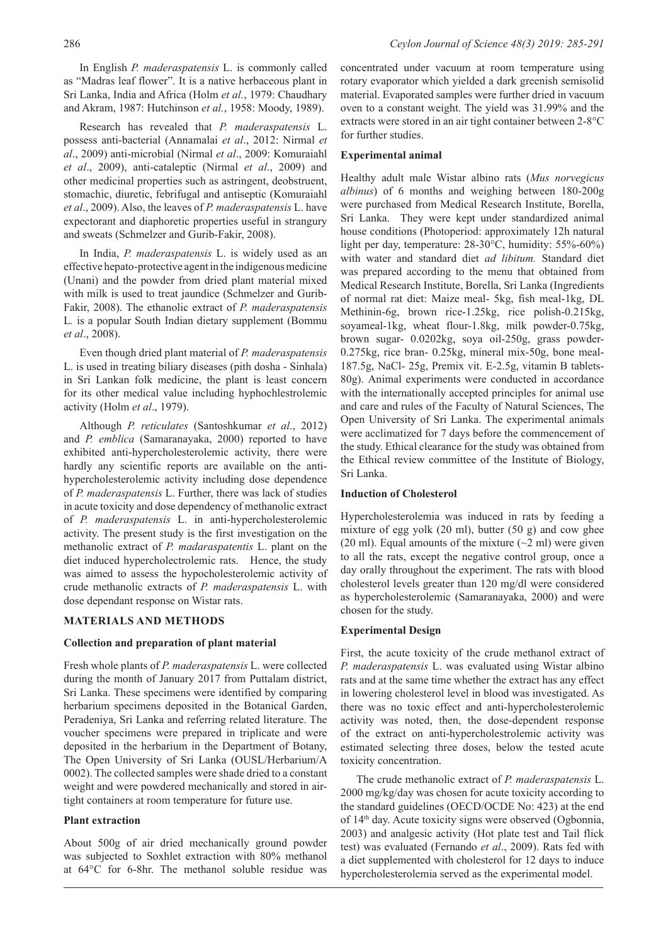In English *P. maderaspatensis* L. is commonly called as "Madras leaf flower". It is a native herbaceous plant in Sri Lanka, India and Africa (Holm *et al.*, 1979: Chaudhary and Akram, 1987: Hutchinson *et al.*, 1958: Moody, 1989).

Research has revealed that *P. maderaspatensis* L. possess anti-bacterial (Annamalai *et al*., 2012: Nirmal *et al*., 2009) anti-microbial (Nirmal *et al*., 2009: Komuraiahl *et al*., 2009), anti-cataleptic (Nirmal *et al*., 2009) and other medicinal properties such as astringent, deobstruent, stomachic, diuretic, febrifugal and antiseptic (Komuraiahl *et al*., 2009). Also, the leaves of *P. maderaspatensis* L. have expectorant and diaphoretic properties useful in strangury and sweats (Schmelzer and Gurib-Fakir, 2008).

In India, *P. maderaspatensis* L. is widely used as an effective hepato-protective agent in the indigenous medicine (Unani) and the powder from dried plant material mixed with milk is used to treat jaundice (Schmelzer and Gurib-Fakir, 2008). The ethanolic extract of *P. maderaspatensis*  L*.* is a popular South Indian dietary supplement (Bommu *et al*., 2008).

Even though dried plant material of *P. maderaspatensis*  L. is used in treating biliary diseases (pith dosha - Sinhala) in Sri Lankan folk medicine, the plant is least concern for its other medical value including hyphochlestrolemic activity (Holm *et al*., 1979).

Although *P. reticulates* (Santoshkumar *et al*., 2012) and *P. emblica* (Samaranayaka, 2000) reported to have exhibited anti-hypercholesterolemic activity, there were hardly any scientific reports are available on the antihypercholesterolemic activity including dose dependence of *P. maderaspatensis* L. Further, there was lack of studies in acute toxicity and dose dependency of methanolic extract of *P. maderaspatensis* L. in anti-hypercholesterolemic activity. The present study is the first investigation on the methanolic extract of *P. madaraspatentis* L. plant on the diet induced hypercholectrolemic rats. Hence, the study was aimed to assess the hypocholesterolemic activity of crude methanolic extracts of *P. maderaspatensis* L. with dose dependant response on Wistar rats.

# **MATERIALS AND METHODS**

### **Collection and preparation of plant material**

Fresh whole plants of *P. maderaspatensis* L. were collected during the month of January 2017 from Puttalam district, Sri Lanka. These specimens were identified by comparing herbarium specimens deposited in the Botanical Garden, Peradeniya, Sri Lanka and referring related literature. The voucher specimens were prepared in triplicate and were deposited in the herbarium in the Department of Botany, The Open University of Sri Lanka (OUSL/Herbarium/A 0002). The collected samples were shade dried to a constant weight and were powdered mechanically and stored in airtight containers at room temperature for future use.

#### **Plant extraction**

About 500g of air dried mechanically ground powder was subjected to Soxhlet extraction with 80% methanol at 64°C for 6-8hr. The methanol soluble residue was

concentrated under vacuum at room temperature using rotary evaporator which yielded a dark greenish semisolid material. Evaporated samples were further dried in vacuum oven to a constant weight. The yield was 31.99% and the extracts were stored in an air tight container between 2-8°C for further studies.

### **Experimental animal**

Healthy adult male Wistar albino rats (*Mus norvegicus albinus*) of 6 months and weighing between 180-200g were purchased from Medical Research Institute, Borella, Sri Lanka. They were kept under standardized animal house conditions (Photoperiod: approximately 12h natural light per day, temperature: 28-30°C, humidity: 55%-60%) with water and standard diet *ad libitum.* Standard diet was prepared according to the menu that obtained from Medical Research Institute, Borella, Sri Lanka (Ingredients of normal rat diet: Maize meal- 5kg, fish meal-1kg, DL Methinin-6g, brown rice-1.25kg, rice polish-0.215kg, soyameal-1kg, wheat flour-1.8kg, milk powder-0.75kg, brown sugar- 0.0202kg, soya oil-250g, grass powder-0.275kg, rice bran- 0.25kg, mineral mix-50g, bone meal-187.5g, NaCl- 25g, Premix vit. E-2.5g, vitamin B tablets-80g). Animal experiments were conducted in accordance with the internationally accepted principles for animal use and care and rules of the Faculty of Natural Sciences, The Open University of Sri Lanka. The experimental animals were acclimatized for 7 days before the commencement of the study. Ethical clearance for the study was obtained from the Ethical review committee of the Institute of Biology, Sri Lanka.

#### **Induction of Cholesterol**

Hypercholesterolemia was induced in rats by feeding a mixture of egg yolk (20 ml), butter (50 g) and cow ghee (20 ml). Equal amounts of the mixture  $(\sim 2$  ml) were given to all the rats, except the negative control group, once a day orally throughout the experiment. The rats with blood cholesterol levels greater than 120 mg/dl were considered as hypercholesterolemic (Samaranayaka, 2000) and were chosen for the study.

#### **Experimental Design**

First, the acute toxicity of the crude methanol extract of *P. maderaspatensis* L. was evaluated using Wistar albino rats and at the same time whether the extract has any effect in lowering cholesterol level in blood was investigated. As there was no toxic effect and anti-hypercholesterolemic activity was noted, then, the dose-dependent response of the extract on anti-hypercholestrolemic activity was estimated selecting three doses, below the tested acute toxicity concentration.

The crude methanolic extract of *P. maderaspatensis* L. 2000 mg/kg/day was chosen for acute toxicity according to the standard guidelines (OECD/OCDE No: 423) at the end of 14<sup>th</sup> day. Acute toxicity signs were observed (Ogbonnia, 2003) and analgesic activity (Hot plate test and Tail flick test) was evaluated (Fernando *et al*., 2009). Rats fed with a diet supplemented with cholesterol for 12 days to induce hypercholesterolemia served as the experimental model.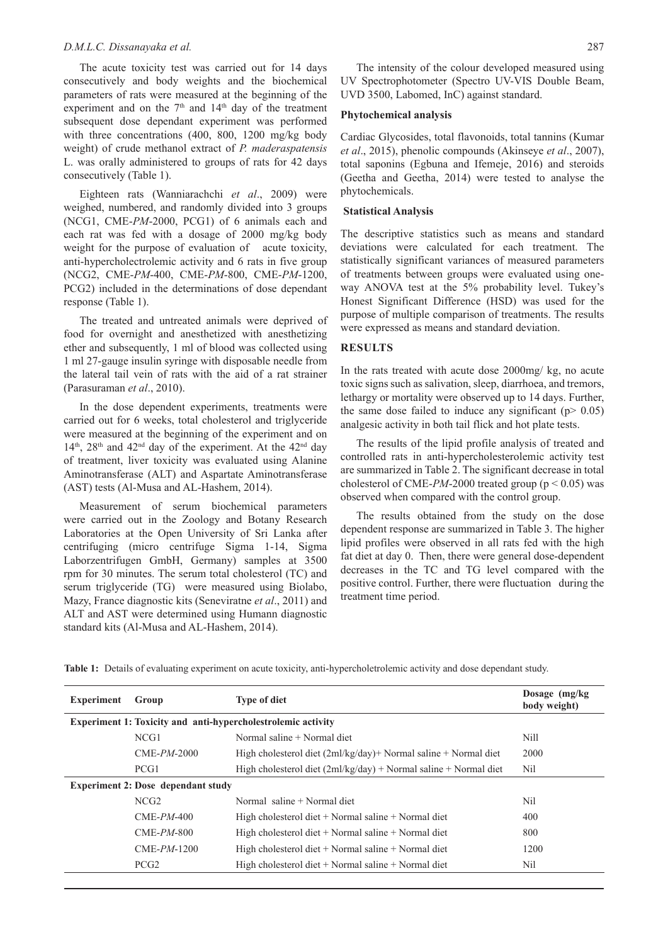#### *D.M.L.C. Dissanayaka et al.* 287

The acute toxicity test was carried out for 14 days consecutively and body weights and the biochemical parameters of rats were measured at the beginning of the experiment and on the  $7<sup>th</sup>$  and  $14<sup>th</sup>$  day of the treatment subsequent dose dependant experiment was performed with three concentrations (400, 800, 1200 mg/kg body weight) of crude methanol extract of *P. maderaspatensis* L. was orally administered to groups of rats for 42 days consecutively (Table 1).

Eighteen rats (Wanniarachchi *et al*., 2009) were weighed, numbered, and randomly divided into 3 groups (NCG1, CME-*PM*-2000, PCG1) of 6 animals each and each rat was fed with a dosage of 2000 mg/kg body weight for the purpose of evaluation of acute toxicity, anti-hypercholectrolemic activity and 6 rats in five group (NCG2, CME-*PM*-400, CME-*PM*-800, CME-*PM*-1200, PCG2) included in the determinations of dose dependant response (Table 1).

The treated and untreated animals were deprived of food for overnight and anesthetized with anesthetizing ether and subsequently, 1 ml of blood was collected using 1 ml 27-gauge insulin syringe with disposable needle from the lateral tail vein of rats with the aid of a rat strainer (Parasuraman *et al*., 2010).

In the dose dependent experiments, treatments were carried out for 6 weeks, total cholesterol and triglyceride were measured at the beginning of the experiment and on  $14<sup>th</sup>$ ,  $28<sup>th</sup>$  and  $42<sup>nd</sup>$  day of the experiment. At the  $42<sup>nd</sup>$  day of treatment, liver toxicity was evaluated using Alanine Aminotransferase (ALT) and Aspartate Aminotransferase (AST) tests (Al-Musa and AL-Hashem, 2014).

Measurement of serum biochemical parameters were carried out in the Zoology and Botany Research Laboratories at the Open University of Sri Lanka after centrifuging (micro centrifuge Sigma 1-14, Sigma Laborzentrifugen GmbH, Germany) samples at 3500 rpm for 30 minutes. The serum total cholesterol (TC) and serum triglyceride (TG) were measured using Biolabo, Mazy, France diagnostic kits (Seneviratne *et al*., 2011) and ALT and AST were determined using Humann diagnostic standard kits (Al-Musa and AL-Hashem, 2014).

The intensity of the colour developed measured using UV Spectrophotometer (Spectro UV-VIS Double Beam, UVD 3500, Labomed, InC) against standard.

# **Phytochemical analysis**

Cardiac Glycosides, total flavonoids, total tannins (Kumar *et al*., 2015), phenolic compounds (Akinseye *et al*., 2007), total saponins (Egbuna and Ifemeje, 2016) and steroids (Geetha and Geetha, 2014) were tested to analyse the phytochemicals.

#### **Statistical Analysis**

The descriptive statistics such as means and standard deviations were calculated for each treatment. The statistically significant variances of measured parameters of treatments between groups were evaluated using oneway ANOVA test at the 5% probability level. Tukey's Honest Significant Difference (HSD) was used for the purpose of multiple comparison of treatments. The results were expressed as means and standard deviation.

# **RESULTS**

In the rats treated with acute dose 2000mg/ kg, no acute toxic signs such as salivation, sleep, diarrhoea, and tremors, lethargy or mortality were observed up to 14 days. Further, the same dose failed to induce any significant ( $p$  > 0.05) analgesic activity in both tail flick and hot plate tests.

The results of the lipid profile analysis of treated and controlled rats in anti-hypercholesterolemic activity test are summarized in Table 2. The significant decrease in total cholesterol of CME- $PM$ -2000 treated group ( $p < 0.05$ ) was observed when compared with the control group.

The results obtained from the study on the dose dependent response are summarized in Table 3. The higher lipid profiles were observed in all rats fed with the high fat diet at day 0. Then, there were general dose-dependent decreases in the TC and TG level compared with the positive control. Further, there were fluctuation during the treatment time period.

|  | Table 1: Details of evaluating experiment on acute toxicity, anti-hypercholetrolemic activity and dose dependant study. |  |  |  |  |  |
|--|-------------------------------------------------------------------------------------------------------------------------|--|--|--|--|--|
|--|-------------------------------------------------------------------------------------------------------------------------|--|--|--|--|--|

| <b>Experiment</b>                         | Group                                                               | <b>Type of diet</b>                                                      | Dosage $(mg/kg)$<br>body weight) |  |  |  |
|-------------------------------------------|---------------------------------------------------------------------|--------------------------------------------------------------------------|----------------------------------|--|--|--|
|                                           | <b>Experiment 1: Toxicity and anti-hypercholestrolemic activity</b> |                                                                          |                                  |  |  |  |
|                                           | NCG1                                                                | Normal saline + Normal diet                                              | Nill                             |  |  |  |
|                                           | $CME-PM-2000$                                                       | High cholesterol diet $(2m1/kg/day)$ + Normal saline + Normal diet       | 2000                             |  |  |  |
|                                           | PCG <sub>1</sub>                                                    | High cholesterol diet $(2m\frac{lg}{day}) + Normal$ saline + Normal diet | Nil                              |  |  |  |
| <b>Experiment 2: Dose dependant study</b> |                                                                     |                                                                          |                                  |  |  |  |
|                                           | NCG <sub>2</sub>                                                    | Normal saline + Normal diet                                              | Nil                              |  |  |  |
|                                           | $CME-PM-400$                                                        | High cholesterol diet $+$ Normal saline $+$ Normal diet                  | 400                              |  |  |  |
|                                           | $CME-PM-800$                                                        | High cholesterol diet $+$ Normal saline $+$ Normal diet                  | 800                              |  |  |  |
|                                           | $CME-PM-1200$                                                       | High cholesterol diet $+$ Normal saline $+$ Normal diet                  | 1200                             |  |  |  |
|                                           | PCG <sub>2</sub>                                                    | High cholesterol diet $+$ Normal saline $+$ Normal diet                  | Nil                              |  |  |  |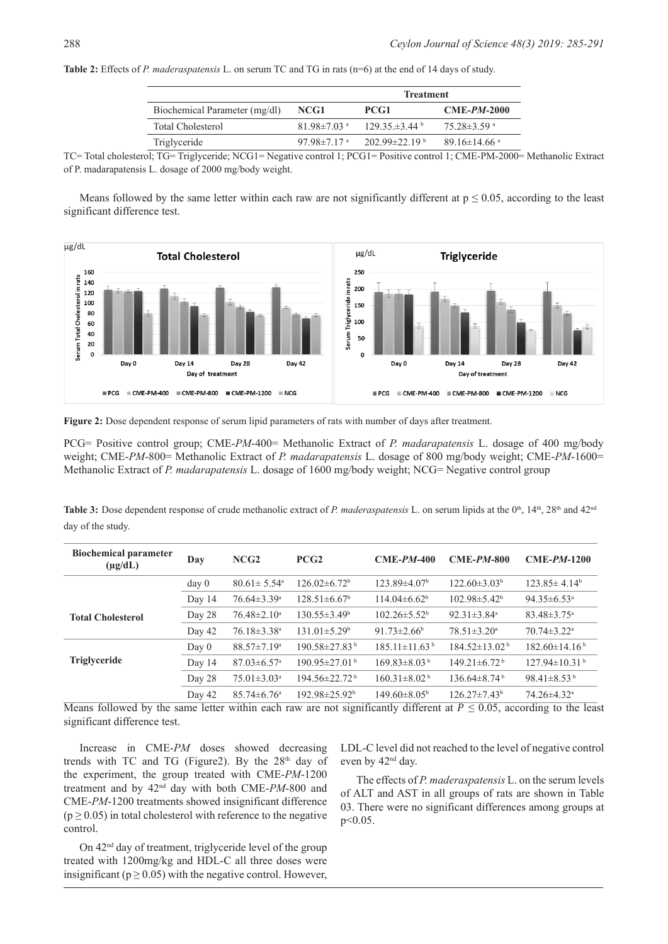|                               |                               | <b>Treatment</b>                |                               |  |
|-------------------------------|-------------------------------|---------------------------------|-------------------------------|--|
| Biochemical Parameter (mg/dl) | NCG1                          | PCG1                            | $CME-PM-2000$                 |  |
| Total Cholesterol             | $81.98 \pm 7.03$ <sup>a</sup> | $129.35 \pm 3.44$ b             | $75.28 \pm 3.59$ <sup>a</sup> |  |
| Triglyceride                  | 97.98 $\pm$ 7.17 $\mathrm{a}$ | $202.99 \pm 22.19^{\mathrm{b}}$ | 89.16±14.66 $\degree$         |  |

**Table 2:** Effects of *P. maderaspatensis* L. on serum TC and TG in rats (n=6) at the end of 14 days of study.

TC= Total cholesterol; TG= Triglyceride; NCG1= Negative control 1; PCG1= Positive control 1; CME-PM-2000= Methanolic Extract of P. madarapatensis L. dosage of 2000 mg/body weight.

Means followed by the same letter within each raw are not significantly different at  $p \le 0.05$ , according to the least significant difference test.



**Figure 2:** Dose dependent response of serum lipid parameters of rats with number of days after treatment.

PCG= Positive control group; CME-*PM*-400= Methanolic Extract of *P. madarapatensis* L. dosage of 400 mg/body weight; CME-*PM*-800= Methanolic Extract of *P. madarapatensis* L. dosage of 800 mg/body weight; CME-*PM*-1600= Methanolic Extract of *P. madarapatensis* L. dosage of 1600 mg/body weight; NCG= Negative control group

**Table 3:** Dose dependent response of crude methanolic extract of *P. maderaspatensis* L. on serum lipids at the 0<sup>th</sup>, 14<sup>th</sup>, 28<sup>th</sup> and 42<sup>nd</sup> day of the study.

| <b>Biochemical parameter</b><br>$(\mu g/dL)$ | Day              | NCG2                          | PCG <sub>2</sub>                | $CME-PM-400$                   | $CME-PM-800$                   | $CME-PM-1200$                   |
|----------------------------------------------|------------------|-------------------------------|---------------------------------|--------------------------------|--------------------------------|---------------------------------|
|                                              | day <sub>0</sub> | $80.61 \pm 5.54$ <sup>a</sup> | $126.02\pm6.72^b$               | $123.89{\pm}4.07^{\rm b}$      | $122.60\pm3.03^b$              | $123.85 \pm 4.14^b$             |
|                                              | Day 14           | $76.64 \pm 3.39$ <sup>a</sup> | $128.51 \pm 6.67^{\circ}$       | $114.04\pm6.62^b$              | $102.98 \pm 5.42^b$            | 94.35 $\pm$ 6.53 <sup>a</sup>   |
| <b>Total Cholesterol</b>                     | Day 28           | $76.48 \pm 2.10^a$            | $130.55 \pm 3.49^{\circ}$       | $102.26 \pm 5.52^{\circ}$      | $92.31 \pm 3.84$ <sup>a</sup>  | $83.48 \pm 3.75$ <sup>a</sup>   |
|                                              | Day 42           | $76.18 \pm 3.38$ <sup>a</sup> | $131.01 \pm 5.29$ <sup>b</sup>  | $91.73 \pm 2.66^b$             | $78.51 \pm 3.20^a$             | $70.74 \pm 3.22$ <sup>a</sup>   |
|                                              | Day 0            | $88.57 \pm 7.19^{\mathrm{a}}$ | $190.58 \pm 27.83$ <sup>b</sup> | $185.11\pm11.63^{\mathrm{b}}$  | $184.52\pm13.02^{\mathrm{b}}$  | $182.60 \pm 14.16^{\mathrm{b}}$ |
| <b>Triglyceride</b>                          | Day 14           | $87.03 \pm 6.57$ <sup>a</sup> | $190.95 \pm 27.01$              | $169.83 \pm 8.03^{\mathrm{b}}$ | $149.21 \pm 6.72$ <sup>b</sup> | $127.94 \pm 10.31$ <sup>b</sup> |
|                                              | Day 28           | $75.01 \pm 3.03$ <sup>a</sup> | $194.56 \pm 22.72$ <sup>b</sup> | $160.31 \pm 8.02^{\mathrm{b}}$ | $136.64\pm8.74^{\mathrm{b}}$   | 98.41 $\pm$ 8.53 <sup>b</sup>   |
| $ -$                                         | Day 42           | $85.74 \pm 6.76$ <sup>a</sup> | $192.98 \pm 25.92^{\circ}$      | $149.60 \pm 8.05^{\circ}$      | $126.27 \pm 7.43$ <sup>b</sup> | $74.26 \pm 4.32$ <sup>a</sup>   |

Means followed by the same letter within each raw are not significantly different at  $P \le 0.05$ , according to the least significant difference test.

Increase in CME-*PM* doses showed decreasing trends with TC and TG (Figure2). By the  $28<sup>th</sup>$  day of the experiment, the group treated with CME-*PM*-1200 treatment and by 42nd day with both CME-*PM*-800 and CME-*PM*-1200 treatments showed insignificant difference  $(p \ge 0.05)$  in total cholesterol with reference to the negative control.

LDL-C level did not reached to the level of negative control even by  $42<sup>nd</sup>$  day.

The effects of *P. maderaspatensis* L. on the serum levels of ALT and AST in all groups of rats are shown in Table 03. There were no significant differences among groups at p<0.05.

On 42nd day of treatment, triglyceride level of the group treated with 1200mg/kg and HDL-C all three doses were insignificant ( $p \ge 0.05$ ) with the negative control. However,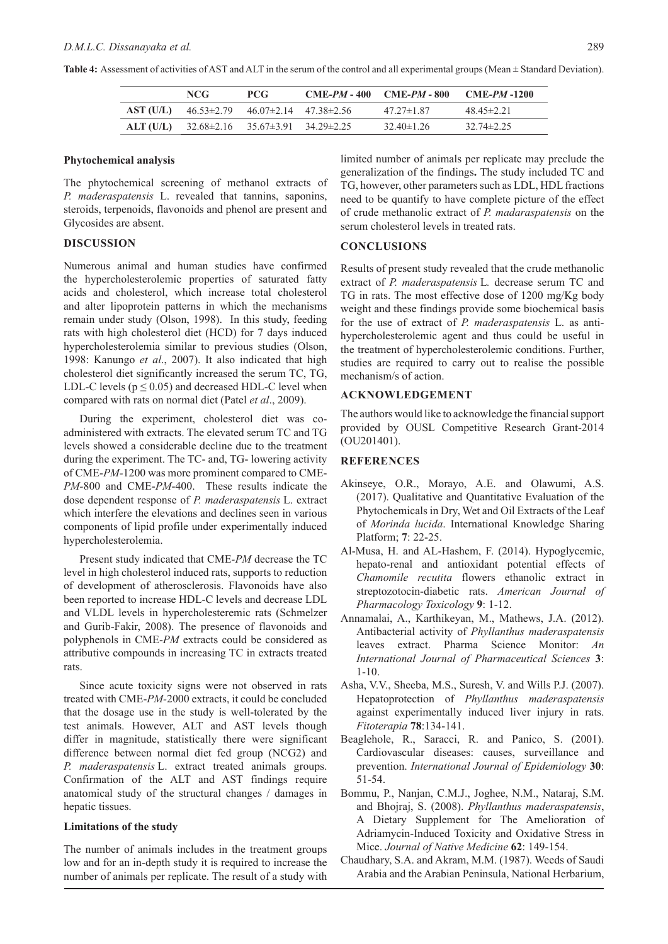| Table 4: Assessment of activities of AST and ALT in the serum of the control and all experimental groups (Mean ± Standard Deviation). |  |
|---------------------------------------------------------------------------------------------------------------------------------------|--|
|---------------------------------------------------------------------------------------------------------------------------------------|--|

| NCG.                                                          | PCG. | $CME-PM - 400$ $CME-PM - 800$ | $CME$ - $PM$ -1200 |
|---------------------------------------------------------------|------|-------------------------------|--------------------|
| <b>AST (U/L)</b> $46.53\pm2.79$ $46.07\pm2.14$ $47.38\pm2.56$ |      | $47.27 \pm 1.87$              | $48.45 \pm 2.21$   |
| ALT (U/L) $32.68 \pm 2.16$ $35.67 \pm 3.91$ $34.29 \pm 2.25$  |      | $32.40 \pm 1.26$              | $32.74 \pm 2.25$   |

#### **Phytochemical analysis**

The phytochemical screening of methanol extracts of *P. maderaspatensis* L. revealed that tannins, saponins, steroids, terpenoids, flavonoids and phenol are present and Glycosides are absent.

# **DISCUSSION**

Numerous animal and human studies have confirmed the hypercholesterolemic properties of saturated fatty acids and cholesterol, which increase total cholesterol and alter lipoprotein patterns in which the mechanisms remain under study (Olson, 1998). In this study, feeding rats with high cholesterol diet (HCD) for 7 days induced hypercholesterolemia similar to previous studies (Olson, 1998: Kanungo *et al*., 2007). It also indicated that high cholesterol diet significantly increased the serum TC, TG, LDL-C levels ( $p \le 0.05$ ) and decreased HDL-C level when compared with rats on normal diet (Patel *et al*., 2009).

During the experiment, cholesterol diet was coadministered with extracts. The elevated serum TC and TG levels showed a considerable decline due to the treatment during the experiment. The TC- and, TG- lowering activity of CME-*PM-*1200 was more prominent compared to CME-*PM-*800 and CME-*PM*-400. These results indicate the dose dependent response of *P. maderaspatensis* L. extract which interfere the elevations and declines seen in various components of lipid profile under experimentally induced hypercholesterolemia.

Present study indicated that CME*-PM* decrease the TC level in high cholesterol induced rats, supports to reduction of development of atherosclerosis. Flavonoids have also been reported to increase HDL-C levels and decrease LDL and VLDL levels in hypercholesteremic rats (Schmelzer and Gurib-Fakir, 2008). The presence of flavonoids and polyphenols in CME-*PM* extracts could be considered as attributive compounds in increasing TC in extracts treated rats.

Since acute toxicity signs were not observed in rats treated with CME-*PM-*2000 extracts, it could be concluded that the dosage use in the study is well-tolerated by the test animals. However, ALT and AST levels though differ in magnitude, statistically there were significant difference between normal diet fed group (NCG2) and *P. maderaspatensis* L. extract treated animals groups. Confirmation of the ALT and AST findings require anatomical study of the structural changes / damages in hepatic tissues.

# **Limitations of the study**

The number of animals includes in the treatment groups low and for an in-depth study it is required to increase the number of animals per replicate. The result of a study with limited number of animals per replicate may preclude the generalization of the findings**.** The study included TC and TG, however, other parameters such as LDL, HDL fractions need to be quantify to have complete picture of the effect of crude methanolic extract of *P. madaraspatensis* on the serum cholesterol levels in treated rats.

#### **CONCLUSIONS**

Results of present study revealed that the crude methanolic extract of *P. maderaspatensis* L*.* decrease serum TC and TG in rats. The most effective dose of 1200 mg/Kg body weight and these findings provide some biochemical basis for the use of extract of *P. maderaspatensis* L. as antihypercholesterolemic agent and thus could be useful in the treatment of hypercholesterolemic conditions. Further, studies are required to carry out to realise the possible mechanism/s of action.

# **ACKNOWLEDGEMENT**

The authors would like to acknowledge the financial support provided by OUSL Competitive Research Grant-2014 (OU201401).

### **REFERENCES**

- Akinseye, O.R., Morayo, A.E. and Olawumi, A.S. (2017). Qualitative and Quantitative Evaluation of the Phytochemicals in Dry, Wet and Oil Extracts of the Leaf of *Morinda lucida*. International Knowledge Sharing Platform; **7**: 22-25.
- Al-Musa, H. and AL-Hashem, F. (2014). Hypoglycemic, hepato-renal and antioxidant potential effects of *Chamomile recutita* flowers ethanolic extract in streptozotocin-diabetic rats. *American Journal of Pharmacology Toxicology* **9**: 1-12.
- Annamalai, A., Karthikeyan, M., Mathews, J.A. (2012). Antibacterial activity of *Phyllanthus maderaspatensis* leaves extract. Pharma Science Monitor: *An International Journal of Pharmaceutical Sciences* **3**: 1-10.
- Asha, V.V., Sheeba, M.S., Suresh, V. and Wills P.J. (2007). Hepatoprotection of *Phyllanthus maderaspatensis* against experimentally induced liver injury in rats. *Fitoterapia* **78**:134-141.
- Beaglehole, R., Saracci, R. and Panico, S. (2001). Cardiovascular diseases: causes, surveillance and prevention. *International Journal of Epidemiology* **30**: 51-54.
- Bommu, P., Nanjan, C.M.J., Joghee, N.M., Nataraj, S.M. and Bhojraj, S. (2008). *Phyllanthus maderaspatensis*, A Dietary Supplement for The Amelioration of Adriamycin-Induced Toxicity and Oxidative Stress in Mice. *Journal of Native Medicine* **62**: 149-154.
- Chaudhary, S.A. and Akram, M.M. (1987). Weeds of Saudi Arabia and the Arabian Peninsula, National Herbarium,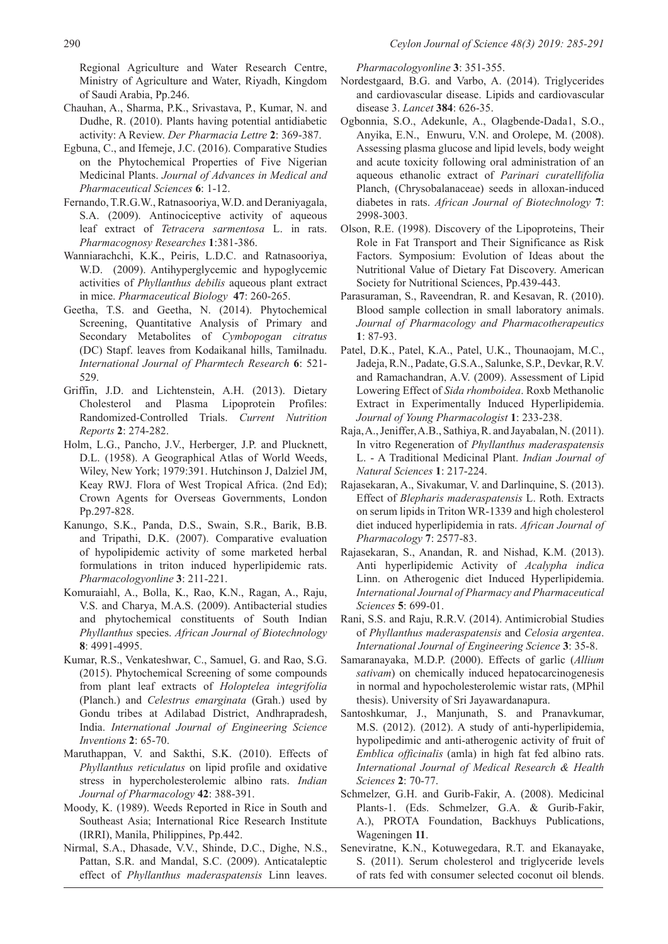Regional Agriculture and Water Research Centre, Ministry of Agriculture and Water, Riyadh, Kingdom of Saudi Arabia, Pp.246.

- Chauhan, A., Sharma, P.K., Srivastava, P., Kumar, N. and Dudhe, R. (2010). Plants having potential antidiabetic activity: A Review. *Der Pharmacia Lettre* **2**: 369-387.
- Egbuna, C., and Ifemeje, J.C. (2016). Comparative Studies on the Phytochemical Properties of Five Nigerian Medicinal Plants. *Journal of Advances in Medical and Pharmaceutical Sciences* **6**: 1-12.
- Fernando, T.R.G.W., Ratnasooriya, W.D. and Deraniyagala, S.A. (2009). Antinociceptive activity of aqueous leaf extract of *Tetracera sarmentosa* L. in rats. *Pharmacognosy Researches* **1**:381-386.
- Wanniarachchi, K.K., Peiris, L.D.C. and Ratnasooriya, W.D. (2009). Antihyperglycemic and hypoglycemic activities of *Phyllanthus debilis* aqueous plant extract in mice. *Pharmaceutical Biology* **47**: 260-265.
- Geetha, T.S. and Geetha, N. (2014). Phytochemical Screening, Quantitative Analysis of Primary and Secondary Metabolites of *Cymbopogan citratus*  (DC) Stapf. leaves from Kodaikanal hills, Tamilnadu. *International Journal of Pharmtech Research* **6**: 521- 529.
- Griffin, J.D. and Lichtenstein, A.H. (2013). Dietary Cholesterol and Plasma Lipoprotein Profiles: Randomized-Controlled Trials. *Current Nutrition Reports* **2**: 274-282.
- Holm, L.G., Pancho, J.V., Herberger, J.P. and Plucknett, D.L. (1958). A Geographical Atlas of World Weeds, Wiley, New York; 1979:391. Hutchinson J, Dalziel JM, Keay RWJ. Flora of West Tropical Africa. (2nd Ed); Crown Agents for Overseas Governments, London Pp.297-828.
- Kanungo, S.K., Panda, D.S., Swain, S.R., Barik, B.B. and Tripathi, D.K. (2007). Comparative evaluation of hypolipidemic activity of some marketed herbal formulations in triton induced hyperlipidemic rats. *Pharmacologyonline* **3**: 211-221.
- Komuraiahl, A., Bolla, K., Rao, K.N., Ragan, A., Raju, V.S. and Charya, M.A.S. (2009). Antibacterial studies and phytochemical constituents of South Indian *Phyllanthus* species. *African Journal of Biotechnology*  **8**: 4991-4995.
- Kumar, R.S., Venkateshwar, C., Samuel, G. and Rao, S.G. (2015). Phytochemical Screening of some compounds from plant leaf extracts of *Holoptelea integrifolia* (Planch.) and *Celestrus emarginata* (Grah.) used by Gondu tribes at Adilabad District, Andhrapradesh, India. *International Journal of Engineering Science Inventions* **2**: 65-70.
- Maruthappan, V. and Sakthi, S.K. (2010). Effects of *Phyllanthus reticulatus* on lipid profile and oxidative stress in hypercholesterolemic albino rats. *Indian Journal of Pharmacology* **42**: 388-391.
- Moody, K. (1989). Weeds Reported in Rice in South and Southeast Asia; International Rice Research Institute (IRRI), Manila, Philippines, Pp.442.
- Nirmal, S.A., Dhasade, V.V., Shinde, D.C., Dighe, N.S., Pattan, S.R. and Mandal, S.C. (2009). Anticataleptic effect of *Phyllanthus maderaspatensis* Linn leaves.

*Pharmacologyonline* **3**: 351-355.

- Nordestgaard, B.G. and Varbo, A. (2014). Triglycerides and cardiovascular disease. Lipids and cardiovascular disease 3. *Lancet* **384**: 626-35.
- Ogbonnia, S.O., Adekunle, A., Olagbende-Dada1, S.O., Anyika, E.N., Enwuru, V.N. and Orolepe, M. (2008). Assessing plasma glucose and lipid levels, body weight and acute toxicity following oral administration of an aqueous ethanolic extract of *Parinari curatellifolia* Planch, (Chrysobalanaceae) seeds in alloxan-induced diabetes in rats. *African Journal of Biotechnology* **7**: 2998-3003.
- Olson, R.E. (1998). Discovery of the Lipoproteins, Their Role in Fat Transport and Their Significance as Risk Factors. Symposium: Evolution of Ideas about the Nutritional Value of Dietary Fat Discovery. American Society for Nutritional Sciences, Pp.439-443.
- Parasuraman, S., Raveendran, R. and Kesavan, R. (2010). Blood sample collection in small laboratory animals. *Journal of Pharmacology and Pharmacotherapeutics* **1**: 87-93.
- Patel, D.K., Patel, K.A., Patel, U.K., Thounaojam, M.C., Jadeja, R.N., Padate, G.S.A., Salunke, S.P., Devkar, R.V. and Ramachandran, A.V. (2009). Assessment of Lipid Lowering Effect of *Sida rhomboidea*. Roxb Methanolic Extract in Experimentally Induced Hyperlipidemia. *Journal of Young Pharmacologist* **1**: 233-238.
- Raja, A., Jeniffer, A.B., Sathiya, R. and Jayabalan, N. (2011). In vitro Regeneration of *Phyllanthus maderaspatensis* L. - A Traditional Medicinal Plant. *Indian Journal of Natural Sciences* **1**: 217-224.
- Rajasekaran, A., Sivakumar, V. and Darlinquine, S. (2013). Effect of *Blepharis maderaspatensis* L. Roth. Extracts on serum lipids in Triton WR-1339 and high cholesterol diet induced hyperlipidemia in rats. *African Journal of Pharmacology* **7**: 2577-83.
- Rajasekaran, S., Anandan, R. and Nishad, K.M. (2013). Anti hyperlipidemic Activity of *Acalypha indica* Linn. on Atherogenic diet Induced Hyperlipidemia. *International Journal of Pharmacy and Pharmaceutical Sciences* **5**: 699-01.
- Rani, S.S. and Raju, R.R.V. (2014). Antimicrobial Studies of *Phyllanthus maderaspatensis* and *Celosia argentea*. *International Journal of Engineering Science* **3**: 35-8.
- Samaranayaka, M.D.P. (2000). Effects of garlic (*Allium sativam*) on chemically induced hepatocarcinogenesis in normal and hypocholesterolemic wistar rats, (MPhil thesis). University of Sri Jayawardanapura.
- Santoshkumar, J., Manjunath, S. and Pranavkumar, M.S. (2012). (2012). A study of anti-hyperlipidemia, hypolipedimic and anti-atherogenic activity of fruit of *Emblica officinalis* (amla) in high fat fed albino rats. *International Journal of Medical Research & Health Sciences* **2**: 70-77.
- Schmelzer, G.H. and Gurib-Fakir, A. (2008). Medicinal Plants-1. (Eds. Schmelzer, G.A. & Gurib-Fakir, A.), PROTA Foundation, Backhuys Publications, Wageningen **11**.
- Seneviratne, K.N., Kotuwegedara, R.T. and Ekanayake, S. (2011). Serum cholesterol and triglyceride levels of rats fed with consumer selected coconut oil blends.